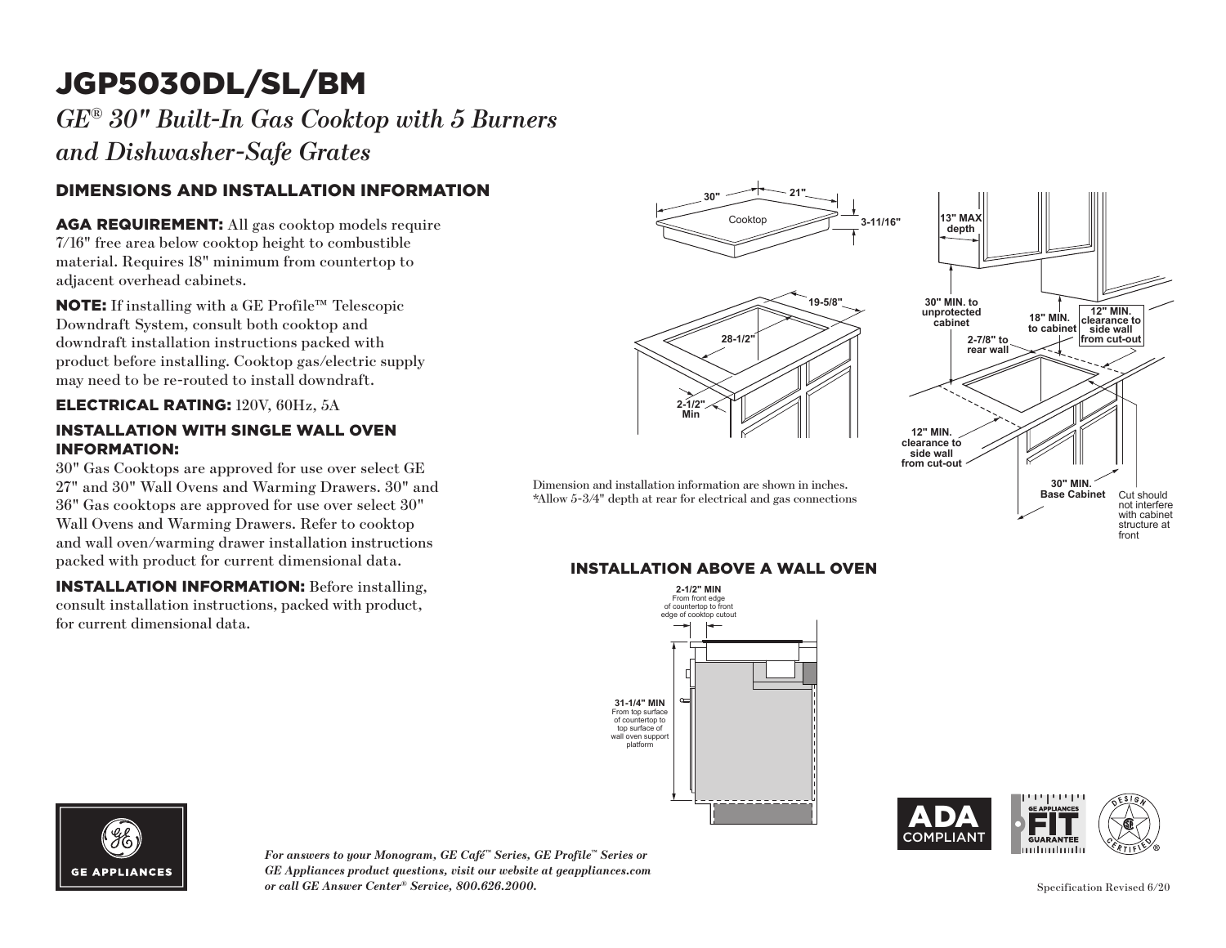# JGP5030DL/SL/BM

*GE® 30" Built-In Gas Cooktop with 5 Burners and Dishwasher-Safe Grates*

## DIMENSIONS AND INSTALLATION INFORMATION

AGA REQUIREMENT: All gas cooktop models require 7/16" free area below cooktop height to combustible material. Requires 18" minimum from countertop to adjacent overhead cabinets.

NOTE: If installing with a GE Profile™ Telescopic Downdraft System, consult both cooktop and downdraft installation instructions packed with product before installing. Cooktop gas/electric supply may need to be re-routed to install downdraft.

### ELECTRICAL RATING: 120V, 60Hz, 5A

#### INSTALLATION WITH SINGLE WALL OVEN INFORMATION:

30" Gas Cooktops are approved for use over select GE 27" and 30" Wall Ovens and Warming Drawers. 30" and 36" Gas cooktops are approved for use over select 30" Wall Ovens and Warming Drawers. Refer to cooktop and wall oven/warming drawer installation instructions packed with product for current dimensional data.

INSTALLATION INFORMATION: Before installing, consult installation instructions, packed with product, for current dimensional data.



## **INSTALLATION ABOVE A WALL OVEN**







*For answers to your Monogram, GE Café™ Series, GE Profile™ Series or GE Appliances product questions, visit our website at geappliances.com or call GE Answer Center® Service, 800.626.2000.*